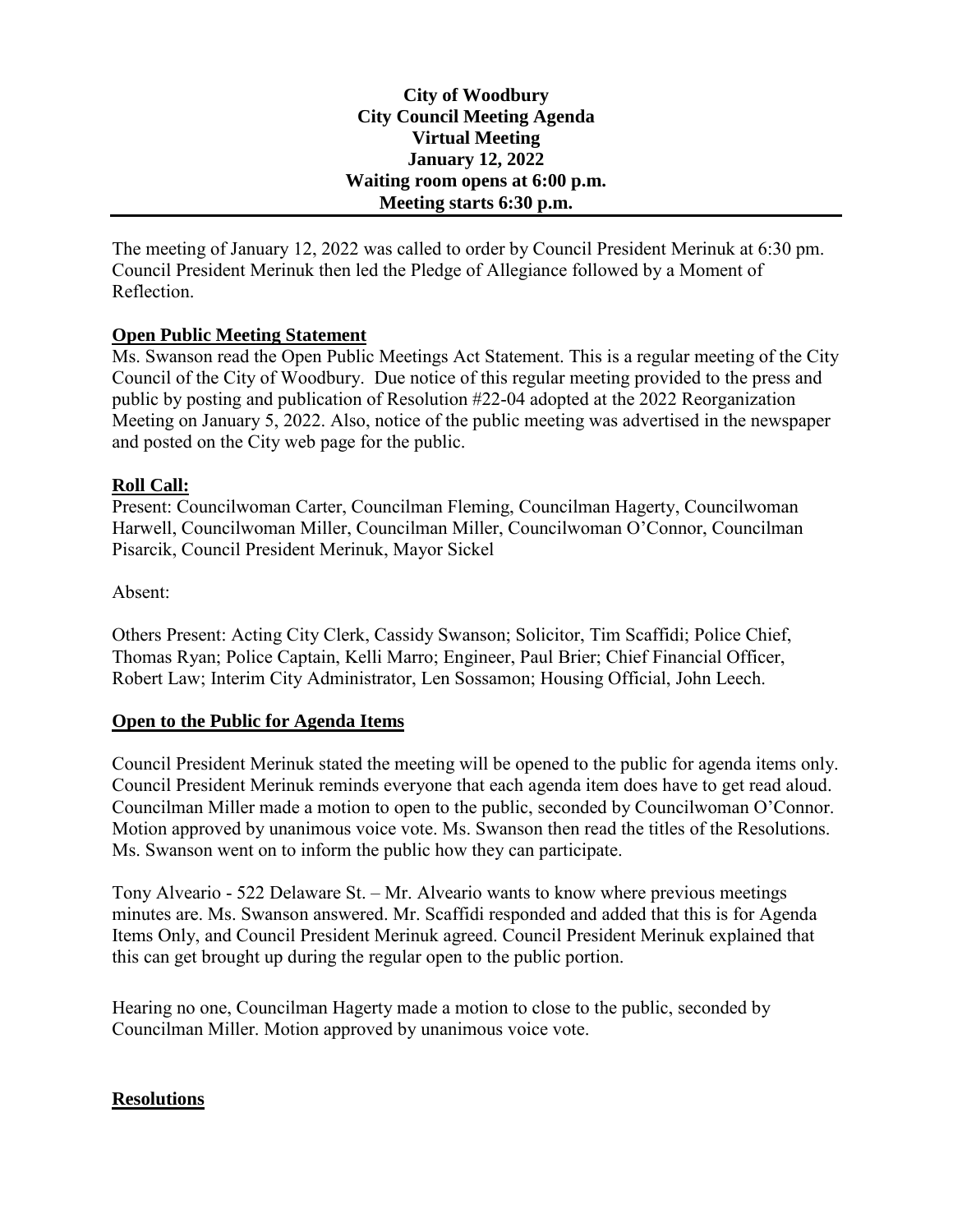### **City of Woodbury City Council Meeting Agenda Virtual Meeting January 12, 2022 Waiting room opens at 6:00 p.m. Meeting starts 6:30 p.m.**

The meeting of January 12, 2022 was called to order by Council President Merinuk at 6:30 pm. Council President Merinuk then led the Pledge of Allegiance followed by a Moment of Reflection.

## **Open Public Meeting Statement**

Ms. Swanson read the Open Public Meetings Act Statement. This is a regular meeting of the City Council of the City of Woodbury. Due notice of this regular meeting provided to the press and public by posting and publication of Resolution #22-04 adopted at the 2022 Reorganization Meeting on January 5, 2022. Also, notice of the public meeting was advertised in the newspaper and posted on the City web page for the public.

#### **Roll Call:**

Present: Councilwoman Carter, Councilman Fleming, Councilman Hagerty, Councilwoman Harwell, Councilwoman Miller, Councilman Miller, Councilwoman O'Connor, Councilman Pisarcik, Council President Merinuk, Mayor Sickel

### Absent:

Others Present: Acting City Clerk, Cassidy Swanson; Solicitor, Tim Scaffidi; Police Chief, Thomas Ryan; Police Captain, Kelli Marro; Engineer, Paul Brier; Chief Financial Officer, Robert Law; Interim City Administrator, Len Sossamon; Housing Official, John Leech.

## **Open to the Public for Agenda Items**

Council President Merinuk stated the meeting will be opened to the public for agenda items only. Council President Merinuk reminds everyone that each agenda item does have to get read aloud. Councilman Miller made a motion to open to the public, seconded by Councilwoman O'Connor. Motion approved by unanimous voice vote. Ms. Swanson then read the titles of the Resolutions. Ms. Swanson went on to inform the public how they can participate.

Tony Alveario - 522 Delaware St. – Mr. Alveario wants to know where previous meetings minutes are. Ms. Swanson answered. Mr. Scaffidi responded and added that this is for Agenda Items Only, and Council President Merinuk agreed. Council President Merinuk explained that this can get brought up during the regular open to the public portion.

Hearing no one, Councilman Hagerty made a motion to close to the public, seconded by Councilman Miller. Motion approved by unanimous voice vote.

## **Resolutions**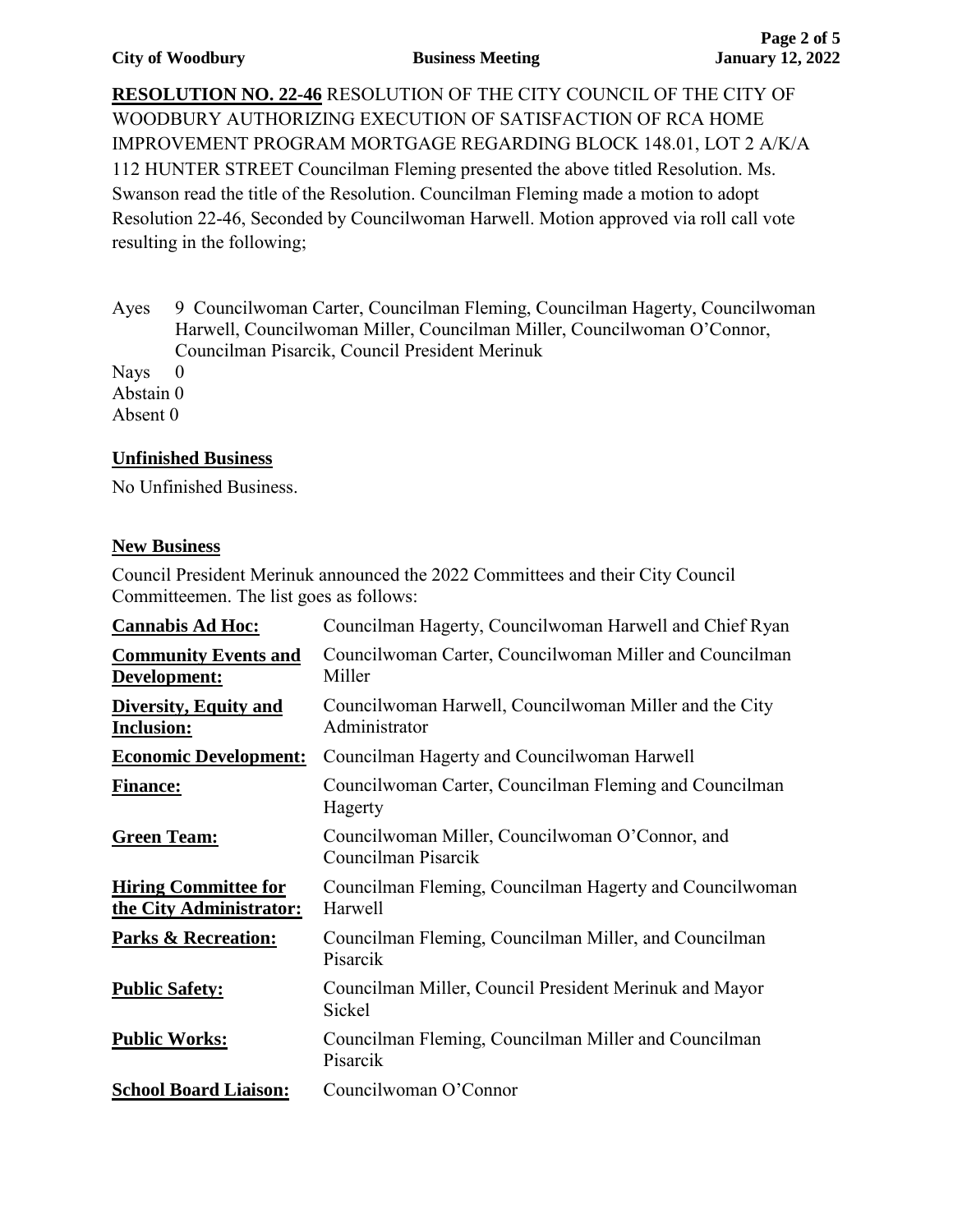**RESOLUTION NO. 22-46** RESOLUTION OF THE CITY COUNCIL OF THE CITY OF WOODBURY AUTHORIZING EXECUTION OF SATISFACTION OF RCA HOME IMPROVEMENT PROGRAM MORTGAGE REGARDING BLOCK 148.01, LOT 2 A/K/A 112 HUNTER STREET Councilman Fleming presented the above titled Resolution. Ms. Swanson read the title of the Resolution. Councilman Fleming made a motion to adopt Resolution 22-46, Seconded by Councilwoman Harwell. Motion approved via roll call vote resulting in the following;

Ayes 9 Councilwoman Carter, Councilman Fleming, Councilman Hagerty, Councilwoman Harwell, Councilwoman Miller, Councilman Miller, Councilwoman O'Connor, Councilman Pisarcik, Council President Merinuk

Nays 0 Abstain 0 Absent 0

## **Unfinished Business**

No Unfinished Business.

## **New Business**

Council President Merinuk announced the 2022 Committees and their City Council Committeemen. The list goes as follows:

| <b>Cannabis Ad Hoc:</b>                                | Councilman Hagerty, Councilwoman Harwell and Chief Ryan                 |
|--------------------------------------------------------|-------------------------------------------------------------------------|
| <b>Community Events and</b><br>Development:            | Councilwoman Carter, Councilwoman Miller and Councilman<br>Miller       |
| <b>Diversity, Equity and</b><br><b>Inclusion:</b>      | Councilwoman Harwell, Councilwoman Miller and the City<br>Administrator |
| <b>Economic Development:</b>                           | Councilman Hagerty and Councilwoman Harwell                             |
| <b>Finance:</b>                                        | Councilwoman Carter, Councilman Fleming and Councilman<br>Hagerty       |
| <b>Green Team:</b>                                     | Councilwoman Miller, Councilwoman O'Connor, and<br>Councilman Pisarcik  |
| <b>Hiring Committee for</b><br>the City Administrator: | Councilman Fleming, Councilman Hagerty and Councilwoman<br>Harwell      |
| <b>Parks &amp; Recreation:</b>                         | Councilman Fleming, Councilman Miller, and Councilman<br>Pisarcik       |
| <b>Public Safety:</b>                                  | Councilman Miller, Council President Merinuk and Mayor<br><b>Sickel</b> |
| <b>Public Works:</b>                                   | Councilman Fleming, Councilman Miller and Councilman<br>Pisarcik        |
| <b>School Board Liaison:</b>                           | Councilwoman O'Connor                                                   |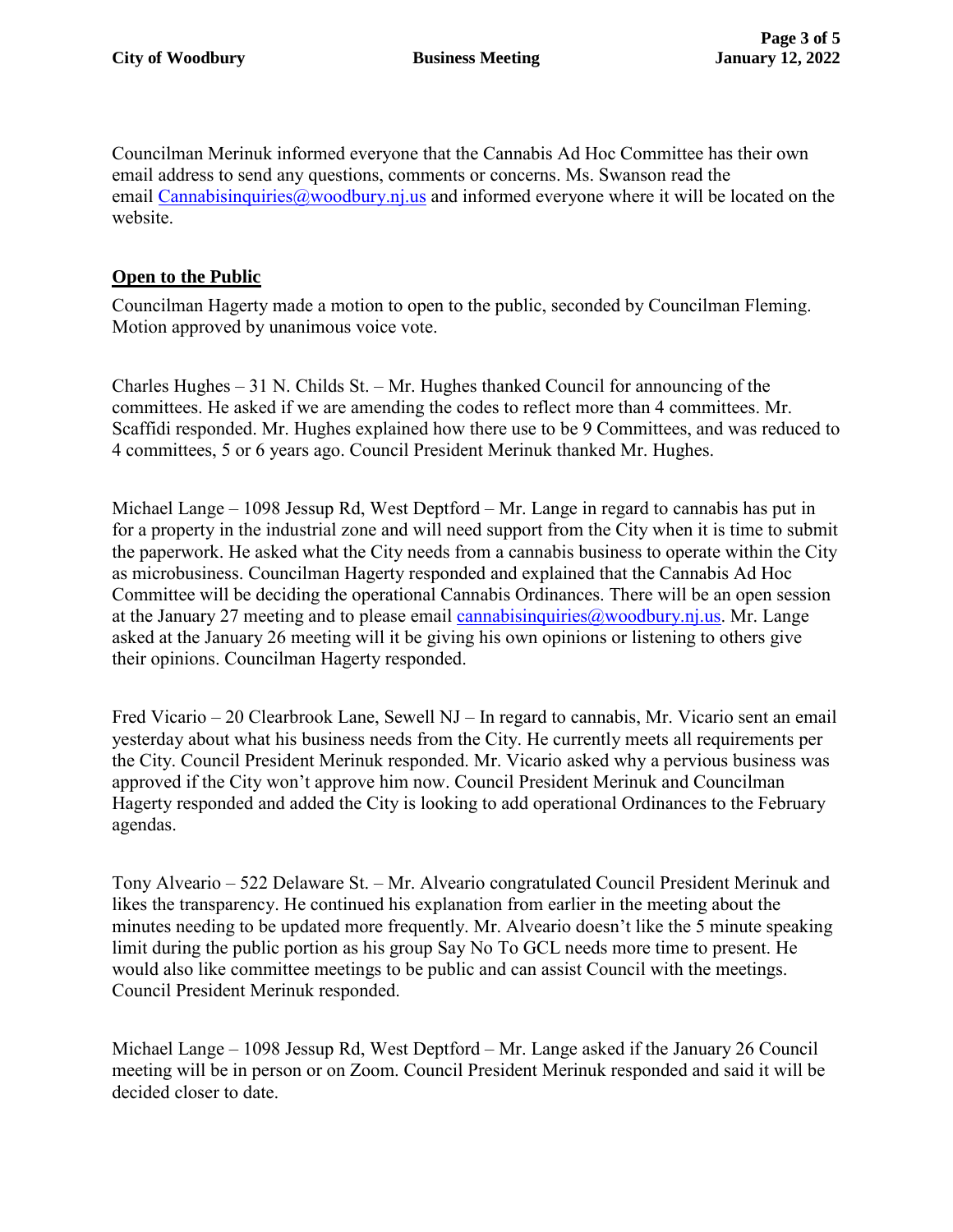Councilman Merinuk informed everyone that the Cannabis Ad Hoc Committee has their own email address to send any questions, comments or concerns. Ms. Swanson read the email [Cannabisinquiries@woodbury.nj.us](mailto:Cannabisinquiries@woodbury.nj.us) and informed everyone where it will be located on the website.

## **Open to the Public**

Councilman Hagerty made a motion to open to the public, seconded by Councilman Fleming. Motion approved by unanimous voice vote.

Charles Hughes – 31 N. Childs St. – Mr. Hughes thanked Council for announcing of the committees. He asked if we are amending the codes to reflect more than 4 committees. Mr. Scaffidi responded. Mr. Hughes explained how there use to be 9 Committees, and was reduced to 4 committees, 5 or 6 years ago. Council President Merinuk thanked Mr. Hughes.

Michael Lange – 1098 Jessup Rd, West Deptford – Mr. Lange in regard to cannabis has put in for a property in the industrial zone and will need support from the City when it is time to submit the paperwork. He asked what the City needs from a cannabis business to operate within the City as microbusiness. Councilman Hagerty responded and explained that the Cannabis Ad Hoc Committee will be deciding the operational Cannabis Ordinances. There will be an open session at the January 27 meeting and to please email cannabisinquiries  $\omega$  woodbury.nj.us. Mr. Lange asked at the January 26 meeting will it be giving his own opinions or listening to others give their opinions. Councilman Hagerty responded.

Fred Vicario – 20 Clearbrook Lane, Sewell NJ – In regard to cannabis, Mr. Vicario sent an email yesterday about what his business needs from the City. He currently meets all requirements per the City. Council President Merinuk responded. Mr. Vicario asked why a pervious business was approved if the City won't approve him now. Council President Merinuk and Councilman Hagerty responded and added the City is looking to add operational Ordinances to the February agendas.

Tony Alveario – 522 Delaware St. – Mr. Alveario congratulated Council President Merinuk and likes the transparency. He continued his explanation from earlier in the meeting about the minutes needing to be updated more frequently. Mr. Alveario doesn't like the 5 minute speaking limit during the public portion as his group Say No To GCL needs more time to present. He would also like committee meetings to be public and can assist Council with the meetings. Council President Merinuk responded.

Michael Lange – 1098 Jessup Rd, West Deptford – Mr. Lange asked if the January 26 Council meeting will be in person or on Zoom. Council President Merinuk responded and said it will be decided closer to date.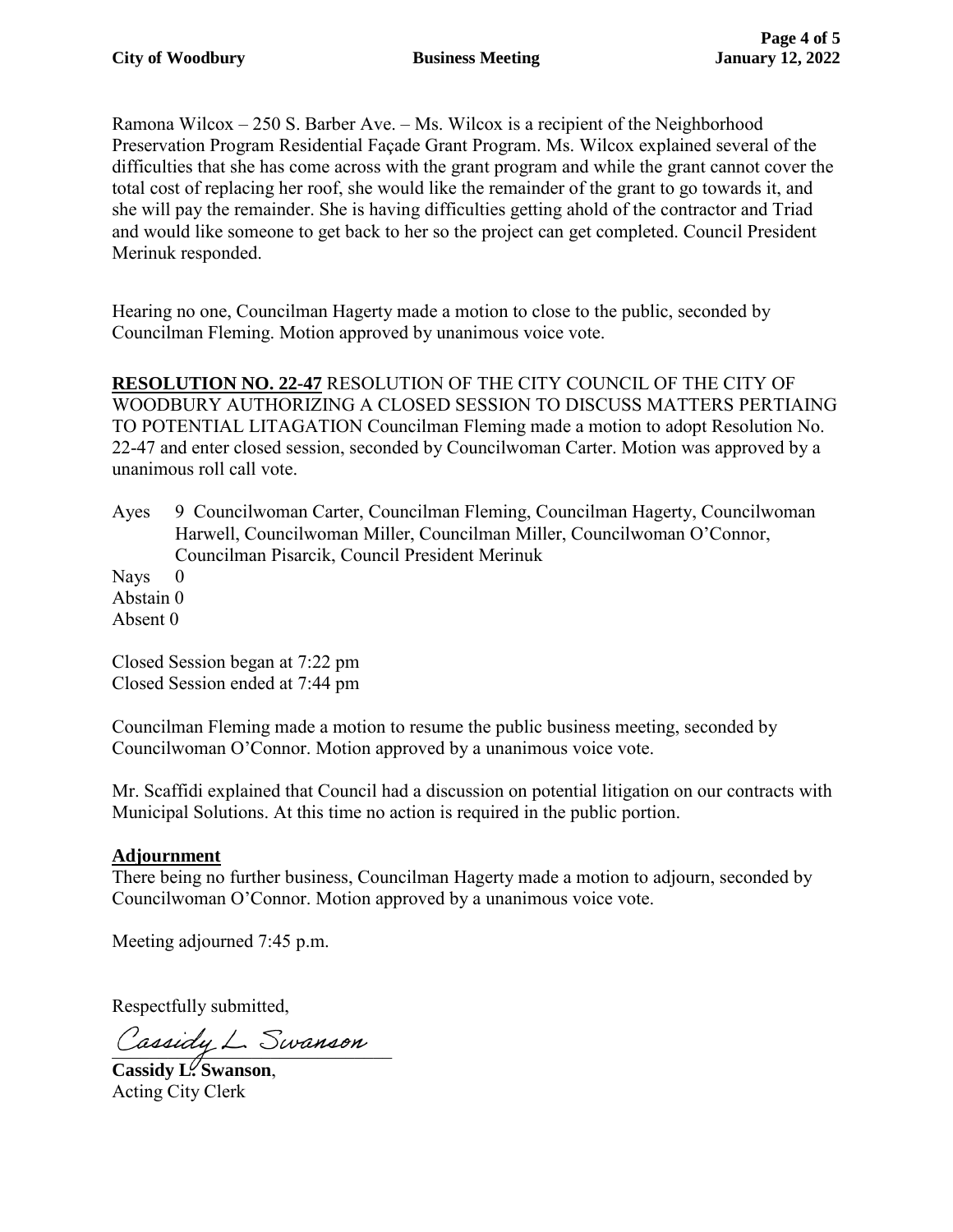Ramona Wilcox – 250 S. Barber Ave. – Ms. Wilcox is a recipient of the Neighborhood Preservation Program Residential Façade Grant Program. Ms. Wilcox explained several of the difficulties that she has come across with the grant program and while the grant cannot cover the total cost of replacing her roof, she would like the remainder of the grant to go towards it, and she will pay the remainder. She is having difficulties getting ahold of the contractor and Triad and would like someone to get back to her so the project can get completed. Council President Merinuk responded.

Hearing no one, Councilman Hagerty made a motion to close to the public, seconded by Councilman Fleming. Motion approved by unanimous voice vote.

**RESOLUTION NO. 22-47** RESOLUTION OF THE CITY COUNCIL OF THE CITY OF WOODBURY AUTHORIZING A CLOSED SESSION TO DISCUSS MATTERS PERTIAING TO POTENTIAL LITAGATION Councilman Fleming made a motion to adopt Resolution No. 22-47 and enter closed session, seconded by Councilwoman Carter. Motion was approved by a unanimous roll call vote.

Ayes 9 Councilwoman Carter, Councilman Fleming, Councilman Hagerty, Councilwoman Harwell, Councilwoman Miller, Councilman Miller, Councilwoman O'Connor, Councilman Pisarcik, Council President Merinuk

Nays 0 Abstain 0 Absent 0

Closed Session began at 7:22 pm Closed Session ended at 7:44 pm

Councilman Fleming made a motion to resume the public business meeting, seconded by Councilwoman O'Connor. Motion approved by a unanimous voice vote.

Mr. Scaffidi explained that Council had a discussion on potential litigation on our contracts with Municipal Solutions. At this time no action is required in the public portion.

# **Adjournment**

There being no further business, Councilman Hagerty made a motion to adjourn, seconded by Councilwoman O'Connor. Motion approved by a unanimous voice vote.

Meeting adjourned 7:45 p.m.

Respectfully submitted,

Cassiay L. Swanson

**Cassidy L. Swanson**, Acting City Clerk